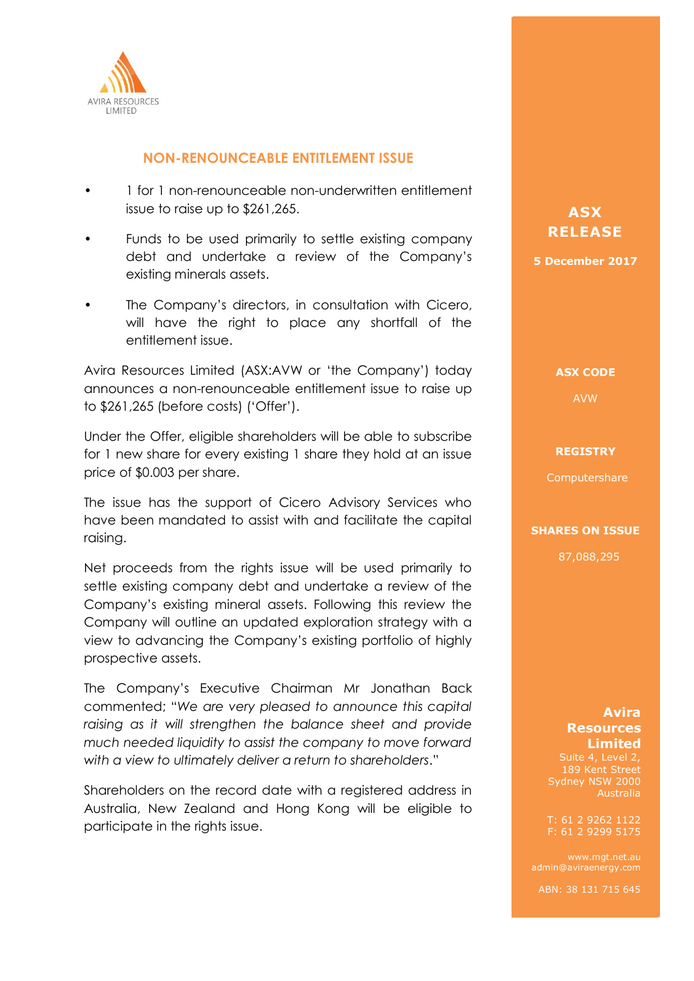

# **NON-RENOUNCEABLE ENTITLEMENT ISSUE**

- 1 for 1 non-renounceable non-underwritten entitlement issue to raise up to \$261,265.
- Funds to be used primarily to settle existing company debt and undertake a review of the Company's existing minerals assets.
- The Company's directors, in consultation with Cicero, will have the right to place any shortfall of the entitlement issue.

Avira Resources Limited (ASX:AVW or 'the Company') today announces a non-renounceable entitlement issue to raise up to \$261,265 (before costs) ('Offer').

Under the Offer, eligible shareholders will be able to subscribe for 1 new share for every existing 1 share they hold at an issue price of \$0.003 per share.

The issue has the support of Cicero Advisory Services who have been mandated to assist with and facilitate the capital raising.

Net proceeds from the rights issue will be used primarily to settle existing company debt and undertake a review of the Company's existing mineral assets. Following this review the Company will outline an updated exploration strategy with a view to advancing the Company's existing portfolio of highly prospective assets.

The Company's Executive Chairman Mr Jonathan Back commented; "*We are very pleased to announce this capital*  raising as it will strengthen the balance sheet and provide *much needed liquidity to assist the company to move forward with a view to ultimately deliver a return to shareholders*."

Shareholders on the record date with a registered address in Australia, New Zealand and Hong Kong will be eligible to participate in the rights issue.

# **ASX ASX RELEASE RELEASE**

**5 December 2017 5 December 2017**

**ASX CODE ASX CODE**

AVW AVW

### **REGISTRY REGISTRY**

Computershare Computershare

#### **SHARES ON ISSUE SHARES ON ISSUE**

87,088,295 87,088,295

# **AVIRA ENERGY Avira Limited Resources 13.05/109 Pitted**

F: 61 2 9299 5175 T: 61 2 9262 1122

admin@aviraenergy.com

ABN: 38 131 715 645